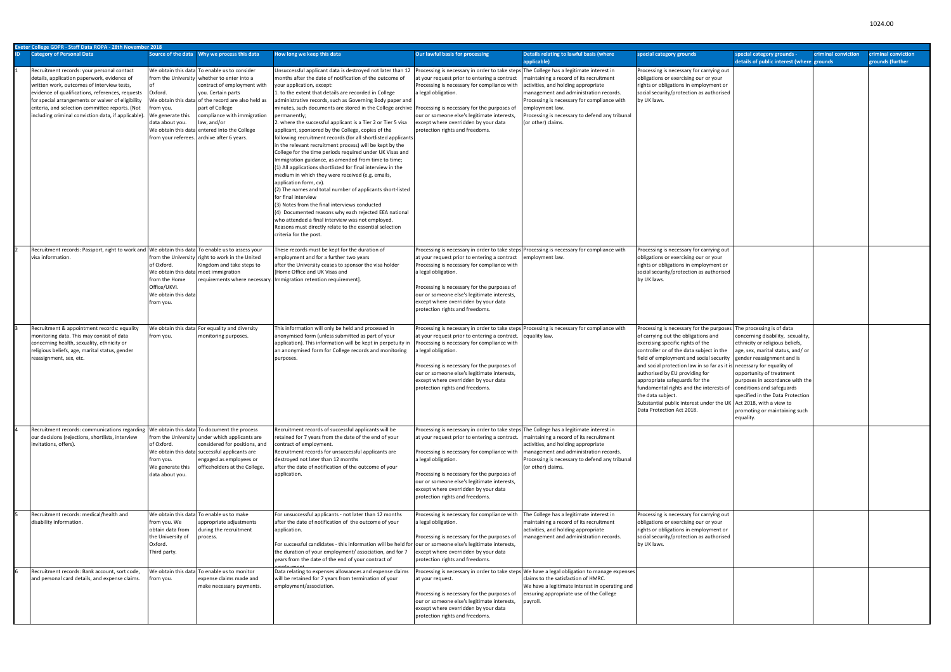|     | Exeter College GDPR - Staff Data ROPA - 28th November 2018                                                                                                                                                                                                                                                                                                 |                                                                                                                         |                                                                                                                                                                                                                                                                                                                                                                       |                                                                                                                                                                                                                                                                                                                                                                                                                                                                                                                                                                                                                                                                                                                                                                                                                                                                                                                                                                                                                                                                                                                                                                                                                                                         |                                                                                                                                                                                                                                                                                                                                                                                         |                                                                                                                                                                                                                                                                    |                                                                                                                                                                                                                                                                                                                                                                                                                                                                                                                                                                                  |                                                                                                                                                                                                                                                                                        |                                         |
|-----|------------------------------------------------------------------------------------------------------------------------------------------------------------------------------------------------------------------------------------------------------------------------------------------------------------------------------------------------------------|-------------------------------------------------------------------------------------------------------------------------|-----------------------------------------------------------------------------------------------------------------------------------------------------------------------------------------------------------------------------------------------------------------------------------------------------------------------------------------------------------------------|---------------------------------------------------------------------------------------------------------------------------------------------------------------------------------------------------------------------------------------------------------------------------------------------------------------------------------------------------------------------------------------------------------------------------------------------------------------------------------------------------------------------------------------------------------------------------------------------------------------------------------------------------------------------------------------------------------------------------------------------------------------------------------------------------------------------------------------------------------------------------------------------------------------------------------------------------------------------------------------------------------------------------------------------------------------------------------------------------------------------------------------------------------------------------------------------------------------------------------------------------------|-----------------------------------------------------------------------------------------------------------------------------------------------------------------------------------------------------------------------------------------------------------------------------------------------------------------------------------------------------------------------------------------|--------------------------------------------------------------------------------------------------------------------------------------------------------------------------------------------------------------------------------------------------------------------|----------------------------------------------------------------------------------------------------------------------------------------------------------------------------------------------------------------------------------------------------------------------------------------------------------------------------------------------------------------------------------------------------------------------------------------------------------------------------------------------------------------------------------------------------------------------------------|----------------------------------------------------------------------------------------------------------------------------------------------------------------------------------------------------------------------------------------------------------------------------------------|-----------------------------------------|
| ID. | <b>Category of Personal Data</b>                                                                                                                                                                                                                                                                                                                           |                                                                                                                         |                                                                                                                                                                                                                                                                                                                                                                       | How long we keep this data                                                                                                                                                                                                                                                                                                                                                                                                                                                                                                                                                                                                                                                                                                                                                                                                                                                                                                                                                                                                                                                                                                                                                                                                                              | Our lawful basis for processing                                                                                                                                                                                                                                                                                                                                                         | Details relating to lawful basis (where<br>applicable)                                                                                                                                                                                                             | special category grounds                                                                                                                                                                                                                                                                                                                                                                                                                                                                                                                                                         | special category grounds -<br>criminal conviction<br>details of public interest (where grounds                                                                                                                                                                                         | criminal conviction<br>grounds (further |
|     | Recruitment records: your personal contact<br>details, application paperwork, evidence of<br>written work, outcomes of interview tests,<br>evidence of qualifications, references, requests<br>for special arrangements or waiver of eligibility<br>criteria, and selection committee reports. (Not<br>including criminal conviction data, if applicable). | Oxford.<br>rom you.<br>We generate this<br>data about you.                                                              | We obtain this data To enable us to consider<br>from the University whether to enter into a<br>contract of employment with<br>you. Certain parts<br>Ne obtain this data of the record are also held as<br>part of College<br>compliance with immigration<br>law, and/or<br>We obtain this data entered into the College<br>from your referees. archive after 6 years. | Insuccessful applicant data is destroyed not later than 12<br>months after the date of notification of the outcome of<br>your application, except:<br>to the extent that details are recorded in College.<br>administrative records, such as Governing Body paper and<br>minutes, such documents are stored in the College archive Processing is necessary for the purposes of<br>permanently;<br>2. where the successful applicant is a Tier 2 or Tier 5 visa<br>applicant, sponsored by the College, copies of the<br>following recruitment records (for all shortlisted applicants<br>in the relevant recruitment process) will be kept by the<br>College for the time periods required under UK Visas and<br>Immigration guidance, as amended from time to time;<br>1) All applications shortlisted for final interview in the<br>medium in which they were received (e.g. emails,<br>application form, cv).<br>(2) The names and total number of applicants short-listed<br>for final interview<br>(3) Notes from the final interviews conducted<br>(4) Documented reasons why each rejected EEA national<br>who attended a final interview was not employed.<br>Reasons must directly relate to the essential selection<br>criteria for the post. | Processing is necessary in order to take steps The College has a legitimate interest in<br>at your request prior to entering a contract<br>Processing is necessary for compliance with<br>a legal obligation.<br>our or someone else's legitimate interests,<br>except where overridden by your data<br>protection rights and freedoms.                                                 | maintaining a record of its recruitment<br>activities, and holding appropriate<br>management and administration records.<br>Processing is necessary for compliance with<br>employment law.<br>Processing is necessary to defend any tribunal<br>(or other) claims. | Processing is necessary for carrying out<br>obligations or exercising our or your<br>rights or obligations in employment or<br>social security/protection as authorised<br>by UK laws.                                                                                                                                                                                                                                                                                                                                                                                           |                                                                                                                                                                                                                                                                                        |                                         |
|     | Recruitment records: Passport, right to work and We obtain this data To enable us to assess your<br>visa information                                                                                                                                                                                                                                       | of Oxford.<br>We obtain this data meet immigration<br>from the Home<br>Office/UKVI.<br>We obtain this data<br>from you. | from the University right to work in the United<br>Kingdom and take steps to                                                                                                                                                                                                                                                                                          | These records must be kept for the duration of<br>employment and for a further two years<br>after the University ceases to sponsor the visa holder<br>Home Office and UK Visas and<br>requirements where necessary. Immigration retention requirement].                                                                                                                                                                                                                                                                                                                                                                                                                                                                                                                                                                                                                                                                                                                                                                                                                                                                                                                                                                                                 | at your request prior to entering a contract<br>Processing is necessary for compliance with<br>a legal obligation.<br>Processing is necessary for the purposes of<br>our or someone else's legitimate interests,<br>except where overridden by your data<br>protection rights and freedoms.                                                                                             | Processing is necessary in order to take steps Processing is necessary for compliance with<br>employment law.                                                                                                                                                      | Processing is necessary for carrying out<br>obligations or exercising our or your<br>rights or obligations in employment or<br>social security/protection as authorised<br>by UK laws.                                                                                                                                                                                                                                                                                                                                                                                           |                                                                                                                                                                                                                                                                                        |                                         |
|     | Recruitment & appointment records: equality<br>monitoring data. This may consist of data<br>concerning health, sexuality, ethnicity or<br>religious beliefs, age, marital status, gender<br>reassignment, sex, etc.                                                                                                                                        | from you.                                                                                                               | We obtain this data For equality and diversity<br>monitoring purposes.                                                                                                                                                                                                                                                                                                | This information will only be held and processed in<br>anonymised form (unless submitted as part of your<br>application). This information will be kept in perpetuity in<br>an anonymised form for College records and monitoring<br>purposes.                                                                                                                                                                                                                                                                                                                                                                                                                                                                                                                                                                                                                                                                                                                                                                                                                                                                                                                                                                                                          | at your request prior to entering a contract.<br>Processing is necessary for compliance with<br>a legal obligation.<br>Processing is necessary for the purposes of<br>our or someone else's legitimate interests,<br>except where overridden by your data<br>protection rights and freedoms.                                                                                            | Processing is necessary in order to take steps Processing is necessary for compliance with<br>equality law.                                                                                                                                                        | Processing is necessary for the purposes The processing is of data<br>of carrying out the obligations and<br>exercising specific rights of the<br>controller or of the data subject in the<br>field of employment and social security gender reassignment and is<br>and social protection law in so far as it is necessary for equality of<br>authorised by EU providing for<br>appropriate safeguards for the<br>fundamental rights and the interests of<br>the data subject.<br>Substantial public interest under the UK Act 2018, with a view to<br>Data Protection Act 2018. | concerning disability, sexuality,<br>ethnicity or religious beliefs,<br>age, sex, marital status, and/or<br>opportunity of treatment<br>purposes in accordance with the<br>conditions and safeguards<br>specified in the Data Protection<br>promoting or maintaining such<br>equality. |                                         |
|     | Recruitment records: communications regarding   We obtain this data   To document the process<br>our decisions (rejections, shortlists, interview<br>invitations, offers).                                                                                                                                                                                 | of Oxford.<br>from you.<br>We generate this<br>data about you.                                                          | from the University under which applicants are<br>considered for positions, and<br>We obtain this data successful applicants are<br>engaged as employees or<br>officeholders at the College.                                                                                                                                                                          | Recruitment records of successful applicants will be<br>retained for 7 years from the date of the end of your<br>contract of employment.<br>Recruitment records for unsuccessful applicants are<br>destroyed not later than 12 months<br>after the date of notification of the outcome of your<br>application.                                                                                                                                                                                                                                                                                                                                                                                                                                                                                                                                                                                                                                                                                                                                                                                                                                                                                                                                          | Processing is necessary in order to take steps The College has a legitimate interest in<br>at your request prior to entering a contract.<br>Processing is necessary for compliance with<br>a legal obligation.<br>Processing is necessary for the purposes of<br>our or someone else's legitimate interests,<br>except where overridden by your data<br>protection rights and freedoms. | maintaining a record of its recruitment<br>activities, and holding appropriate<br>management and administration records.<br>Processing is necessary to defend any tribunal<br>(or other) claims.                                                                   |                                                                                                                                                                                                                                                                                                                                                                                                                                                                                                                                                                                  |                                                                                                                                                                                                                                                                                        |                                         |
|     | Recruitment records: medical/health and<br>disability information.                                                                                                                                                                                                                                                                                         | from you. We<br>obtain data from<br>the University of<br>Oxford.<br>Third party.                                        | We obtain this data To enable us to make<br>appropriate adjustments<br>during the recruitment<br>process.                                                                                                                                                                                                                                                             | For unsuccessful applicants - not later than 12 months<br>after the date of notification of the outcome of your<br>application.<br>For successful candidates - this information will be held for our or someone else's legitimate interests,<br>the duration of your employment/ association, and for 7<br>years from the date of the end of your contract of                                                                                                                                                                                                                                                                                                                                                                                                                                                                                                                                                                                                                                                                                                                                                                                                                                                                                           | Processing is necessary for compliance with<br>a legal obligation.<br>Processing is necessary for the purposes of<br>except where overridden by your data<br>protection rights and freedoms.                                                                                                                                                                                            | The College has a legitimate interest in<br>maintaining a record of its recruitment<br>activities, and holding appropriate<br>management and administration records.                                                                                               | Processing is necessary for carrying out<br>obligations or exercising our or your<br>rights or obligations in employment or<br>social security/protection as authorised<br>by UK laws.                                                                                                                                                                                                                                                                                                                                                                                           |                                                                                                                                                                                                                                                                                        |                                         |
|     | Recruitment records: Bank account, sort code,<br>and personal card details, and expense claims.                                                                                                                                                                                                                                                            | rom you.                                                                                                                | We obtain this data To enable us to monitor<br>expense claims made and<br>make necessary payments.                                                                                                                                                                                                                                                                    | Data relating to expenses allowances and expense claim:<br>will be retained for 7 years from termination of your<br>employment/association.                                                                                                                                                                                                                                                                                                                                                                                                                                                                                                                                                                                                                                                                                                                                                                                                                                                                                                                                                                                                                                                                                                             | Processing is necessary in order to take steps<br>at your request.<br>Processing is necessary for the purposes of<br>our or someone else's legitimate interests,<br>except where overridden by your data<br>protection rights and freedoms.                                                                                                                                             | We have a legal obligation to manage expenses<br>claims to the satisfaction of HMRC.<br>We have a legitimate interest in operating and<br>ensuring appropriate use of the College<br>payroll.                                                                      |                                                                                                                                                                                                                                                                                                                                                                                                                                                                                                                                                                                  |                                                                                                                                                                                                                                                                                        |                                         |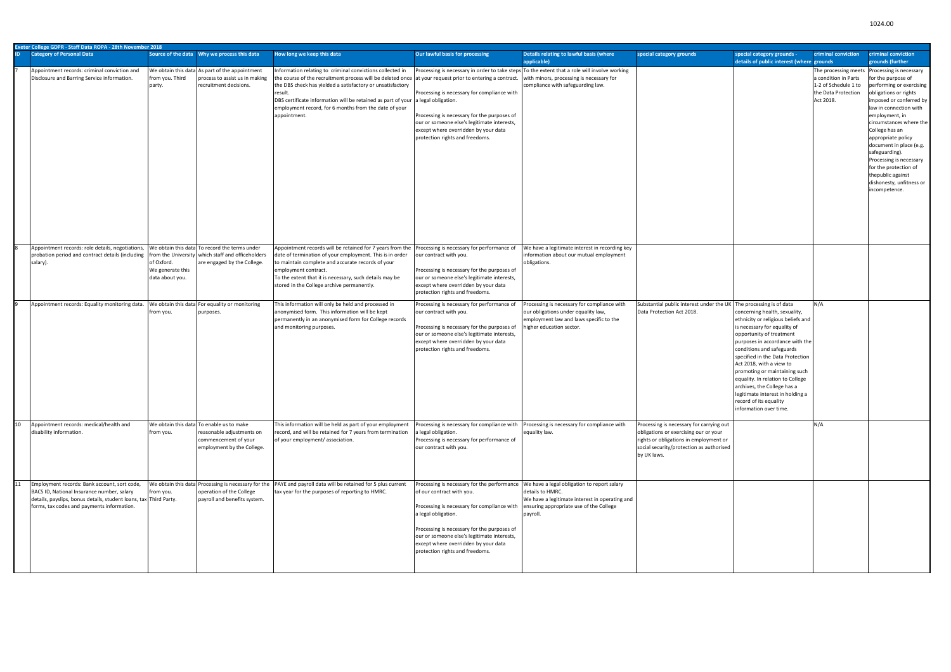|    | Exeter College GDPR - Staff Data ROPA - 28th November 2018                                                                                                                                                    |                                                   |                                                                                                                                   |                                                                                                                                                                                                                                                                                                                                                                                                             |                                                                                                                                                                                                                                                                                                                                                                       |                                                                                                                                                                                |                                                                                                                                                                                        |                                                                                                                                                                                                                                                                                                                                                                                                                                                             |                                                                                  |                                                                                                                                                                                                                                                                                                                                                                                                                                      |
|----|---------------------------------------------------------------------------------------------------------------------------------------------------------------------------------------------------------------|---------------------------------------------------|-----------------------------------------------------------------------------------------------------------------------------------|-------------------------------------------------------------------------------------------------------------------------------------------------------------------------------------------------------------------------------------------------------------------------------------------------------------------------------------------------------------------------------------------------------------|-----------------------------------------------------------------------------------------------------------------------------------------------------------------------------------------------------------------------------------------------------------------------------------------------------------------------------------------------------------------------|--------------------------------------------------------------------------------------------------------------------------------------------------------------------------------|----------------------------------------------------------------------------------------------------------------------------------------------------------------------------------------|-------------------------------------------------------------------------------------------------------------------------------------------------------------------------------------------------------------------------------------------------------------------------------------------------------------------------------------------------------------------------------------------------------------------------------------------------------------|----------------------------------------------------------------------------------|--------------------------------------------------------------------------------------------------------------------------------------------------------------------------------------------------------------------------------------------------------------------------------------------------------------------------------------------------------------------------------------------------------------------------------------|
|    | <b>Category of Personal Data</b>                                                                                                                                                                              |                                                   |                                                                                                                                   | How long we keep this data                                                                                                                                                                                                                                                                                                                                                                                  | Our lawful basis for processing                                                                                                                                                                                                                                                                                                                                       | Details relating to lawful basis (where<br>applicable)                                                                                                                         | special category grounds                                                                                                                                                               | special category grounds -<br>details of public interest (where grounds                                                                                                                                                                                                                                                                                                                                                                                     | criminal conviction                                                              | criminal conviction<br>grounds (further                                                                                                                                                                                                                                                                                                                                                                                              |
|    | Appointment records: criminal conviction and<br>Disclosure and Barring Service information.                                                                                                                   | from you. Third<br>party.                         | We obtain this data As part of the appointment<br>process to assist us in making<br>recruitment decisions.                        | Information relating to criminal convictions collected in<br>the course of the recruitment process will be deleted once at your request prior to entering a contract.<br>the DBS check has yielded a satisfactory or unsatisfactory<br>result.<br>DBS certificate information will be retained as part of your a legal obligation.<br>employment record, for 6 months from the date of your<br>appointment. | Processing is necessary for compliance with<br>Processing is necessary for the purposes of<br>our or someone else's legitimate interests,<br>except where overridden by your data<br>protection rights and freedoms.                                                                                                                                                  | Processing is necessary in order to take steps To the extent that a role will involve working<br>with minors, processing is necessary for<br>compliance with safeguarding law. |                                                                                                                                                                                        |                                                                                                                                                                                                                                                                                                                                                                                                                                                             | a condition in Parts<br>1-2 of Schedule 1 to<br>the Data Protection<br>Act 2018. | The processing meets Processing is necessary<br>for the purpose of<br>performing or exercising<br>obligations or rights<br>imposed or conferred by<br>law in connection with<br>employment, in<br>circumstances where the<br>College has an<br>appropriate policy<br>document in place (e.g.<br>safeguarding).<br>Processing is necessary<br>for the protection of<br>thepublic against<br>dishonesty, unfitness or<br>incompetence. |
|    | Appointment records: role details, negotiations,<br>probation period and contract details (including<br>salary).                                                                                              | of Oxford.<br>We generate this<br>data about you. | We obtain this data To record the terms under<br>from the University which staff and officeholders<br>are engaged by the College. | Appointment records will be retained for 7 years from the   Processing is necessary for performance of<br>date of termination of your employment. This is in order<br>to maintain complete and accurate records of your<br>employment contract.<br>To the extent that it is necessary, such details may be<br>stored in the College archive permanently.                                                    | our contract with you.<br>Processing is necessary for the purposes of<br>our or someone else's legitimate interests,<br>except where overridden by your data<br>protection rights and freedoms.                                                                                                                                                                       | We have a legitimate interest in recording key<br>information about our mutual employment<br>obligations.                                                                      |                                                                                                                                                                                        |                                                                                                                                                                                                                                                                                                                                                                                                                                                             |                                                                                  |                                                                                                                                                                                                                                                                                                                                                                                                                                      |
|    | Appointment records: Equality monitoring data.                                                                                                                                                                | from you.                                         | We obtain this data For equality or monitoring<br>purposes.                                                                       | This information will only be held and processed in<br>anonymised form. This information will be kept<br>permanently in an anonymised form for College records<br>and monitoring purposes.                                                                                                                                                                                                                  | Processing is necessary for performance of<br>our contract with you.<br>Processing is necessary for the purposes of<br>our or someone else's legitimate interests,<br>except where overridden by your data<br>protection rights and freedoms.                                                                                                                         | Processing is necessary for compliance with<br>our obligations under equality law,<br>employment law and laws specific to the<br>higher education sector.                      | Substantial public interest under the UK The processing is of data<br>Data Protection Act 2018.                                                                                        | concerning health, sexuality,<br>ethnicity or religious beliefs and<br>is necessary for equality of<br>opportunity of treatment<br>purposes in accordance with the<br>conditions and safeguards<br>specified in the Data Protection<br>Act 2018, with a view to<br>promoting or maintaining such<br>equality. In relation to College<br>archives, the College has a<br>legitimate interest in holding a<br>record of its equality<br>information over time. | N/A                                                                              |                                                                                                                                                                                                                                                                                                                                                                                                                                      |
| 10 | Appointment records: medical/health and<br>disability information.                                                                                                                                            | from you.                                         | We obtain this data To enable us to make<br>reasonable adjustments on<br>commencement of your<br>employment by the College.       | This information will be held as part of your employment<br>record, and will be retained for 7 years from termination<br>of your employment/association.                                                                                                                                                                                                                                                    | Processing is necessary for compliance with<br>a legal obligation.<br>Processing is necessary for performance of<br>our contract with you.                                                                                                                                                                                                                            | Processing is necessary for compliance with<br>equality law.                                                                                                                   | Processing is necessary for carrying out<br>obligations or exercising our or your<br>rights or obligations in employment or<br>social security/protection as authorised<br>by UK laws. |                                                                                                                                                                                                                                                                                                                                                                                                                                                             | N/A                                                                              |                                                                                                                                                                                                                                                                                                                                                                                                                                      |
| 11 | Employment records: Bank account, sort code,<br>BACS ID, National Insurance number, salary<br>details, payslips, bonus details, student loans, tax Third Party.<br>forms, tax codes and payments information. | from you.                                         | operation of the College<br>payroll and benefits system.                                                                          | We obtain this data Processing is necessary for the PAYE and payroll data will be retained for 5 plus current<br>tax year for the purposes of reporting to HMRC.                                                                                                                                                                                                                                            | Processing is necessary for the performance   We have a legal obligation to report salary<br>of our contract with you.<br>Processing is necessary for compliance with<br>a legal obligation.<br>Processing is necessary for the purposes of<br>our or someone else's legitimate interests,<br>except where overridden by your data<br>protection rights and freedoms. | details to HMRC.<br>We have a legitimate interest in operating and<br>ensuring appropriate use of the College<br>payroll.                                                      |                                                                                                                                                                                        |                                                                                                                                                                                                                                                                                                                                                                                                                                                             |                                                                                  |                                                                                                                                                                                                                                                                                                                                                                                                                                      |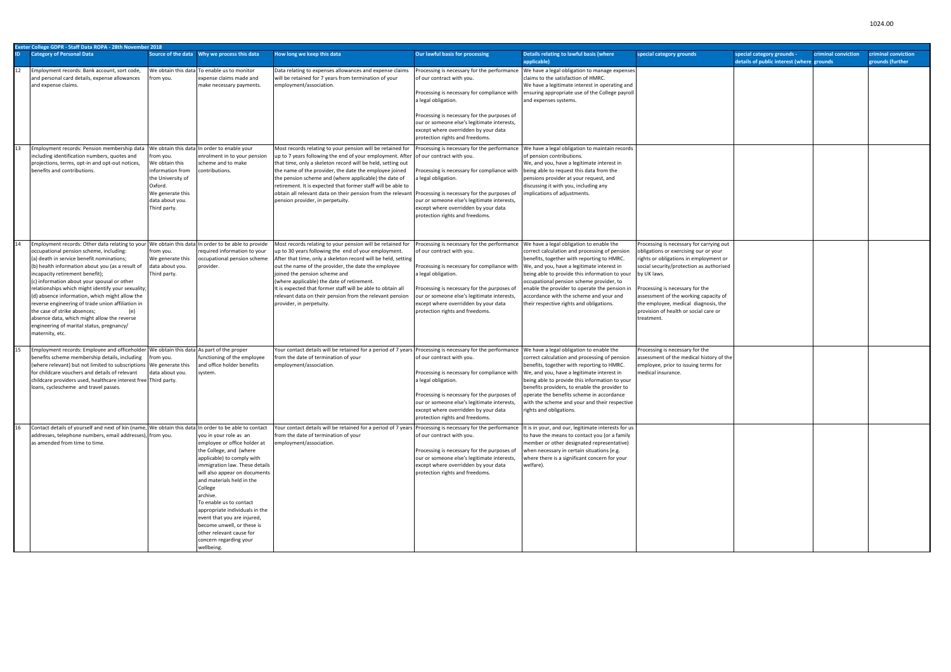|     | Exeter College GDPR - Staff Data ROPA - 28th November 2018                                                                                                                                                                                                                                                                                                                                                                                                                                                                                                                                                                                          |                                                                                                                                       |                                                                                                                                                                                                                                                                                                                                                                                                                                      |                                                                                                                                                                                                                                                                                                                                                                                                                                                                                                       |                                                                                                                                                                                                                                                                                                                         |                                                                                                                                                                                                                                                                                                                                                                                                                             |                                                                                                                                                                                                                                                                                                                                                                  |                                                                                                |                                         |  |  |  |
|-----|-----------------------------------------------------------------------------------------------------------------------------------------------------------------------------------------------------------------------------------------------------------------------------------------------------------------------------------------------------------------------------------------------------------------------------------------------------------------------------------------------------------------------------------------------------------------------------------------------------------------------------------------------------|---------------------------------------------------------------------------------------------------------------------------------------|--------------------------------------------------------------------------------------------------------------------------------------------------------------------------------------------------------------------------------------------------------------------------------------------------------------------------------------------------------------------------------------------------------------------------------------|-------------------------------------------------------------------------------------------------------------------------------------------------------------------------------------------------------------------------------------------------------------------------------------------------------------------------------------------------------------------------------------------------------------------------------------------------------------------------------------------------------|-------------------------------------------------------------------------------------------------------------------------------------------------------------------------------------------------------------------------------------------------------------------------------------------------------------------------|-----------------------------------------------------------------------------------------------------------------------------------------------------------------------------------------------------------------------------------------------------------------------------------------------------------------------------------------------------------------------------------------------------------------------------|------------------------------------------------------------------------------------------------------------------------------------------------------------------------------------------------------------------------------------------------------------------------------------------------------------------------------------------------------------------|------------------------------------------------------------------------------------------------|-----------------------------------------|--|--|--|
| ID. | <b>Category of Personal Data</b>                                                                                                                                                                                                                                                                                                                                                                                                                                                                                                                                                                                                                    |                                                                                                                                       |                                                                                                                                                                                                                                                                                                                                                                                                                                      | How long we keep this data                                                                                                                                                                                                                                                                                                                                                                                                                                                                            | Our lawful basis for processing                                                                                                                                                                                                                                                                                         | Details relating to lawful basis (where<br>applicable)                                                                                                                                                                                                                                                                                                                                                                      | special category grounds                                                                                                                                                                                                                                                                                                                                         | special category grounds -<br>criminal conviction<br>details of public interest (where grounds | criminal conviction<br>grounds (further |  |  |  |
| 12  | Employment records: Bank account, sort code,<br>and personal card details, expense allowances<br>and expense claims.                                                                                                                                                                                                                                                                                                                                                                                                                                                                                                                                | rom you.                                                                                                                              | We obtain this data To enable us to monitor<br>expense claims made and<br>make necessary payments.                                                                                                                                                                                                                                                                                                                                   | Data relating to expenses allowances and expense claims<br>will be retained for 7 years from termination of your<br>employment/association.                                                                                                                                                                                                                                                                                                                                                           | Processing is necessary for the performance<br>of our contract with you.<br>Processing is necessary for compliance with<br>a legal obligation.<br>Processing is necessary for the purposes of<br>our or someone else's legitimate interests,<br>except where overridden by your data<br>protection rights and freedoms. | We have a legal obligation to manage expenses<br>claims to the satisfaction of HMRC.<br>We have a legitimate interest in operating and<br>ensuring appropriate use of the College payroll<br>and expenses systems.                                                                                                                                                                                                          |                                                                                                                                                                                                                                                                                                                                                                  |                                                                                                |                                         |  |  |  |
| 13  | Employment records: Pension membership data   We obtain this data In order to enable your<br>including identification numbers, quotes and<br>projections, terms, opt-in and opt-out notices,<br>benefits and contributions.                                                                                                                                                                                                                                                                                                                                                                                                                         | rom you.<br>We obtain this<br>information from<br>the University of<br>Oxford.<br>We generate this<br>data about you.<br>Third party. | enrolment in to your pension<br>scheme and to make<br>ontributions.                                                                                                                                                                                                                                                                                                                                                                  | Most records relating to your pension will be retained for<br>up to 7 years following the end of your employment. After of our contract with you.<br>that time, only a skeleton record will be held, setting out<br>the name of the provider, the date the employee joined<br>the pension scheme and (where applicable) the date of<br>retirement. It is expected that former staff will be able to<br>obtain all relevant data on their pension from the relevan<br>pension provider, in perpetuity. | Processing is necessary for the performance<br>Processing is necessary for compliance with<br>a legal obligation.<br>Processing is necessary for the purposes of<br>our or someone else's legitimate interests,<br>except where overridden by your data<br>protection rights and freedoms.                              | We have a legal obligation to maintain records<br>of pension contributions.<br>We, and you, have a legitimate interest in<br>being able to request this data from the<br>pensions provider at your request, and<br>discussing it with you, including any<br>implications of adjustments.                                                                                                                                    |                                                                                                                                                                                                                                                                                                                                                                  |                                                                                                |                                         |  |  |  |
| 14  | Employment records: Other data relating to your We obtain this data In order to be able to provide<br>occupational pension scheme, including:<br>(a) death in service benefit nominations;<br>(b) health information about you (as a result of<br>incapacity retirement benefit);<br>(c) information about your spousal or other<br>relationships which might identify your sexuality;<br>(d) absence information, which might allow the<br>reverse engineering of trade union affiliation in<br>(e)<br>the case of strike absences;<br>absence data, which might allow the reverse<br>engineering of marital status, pregnancy/<br>maternity, etc. | from you.<br>We generate this<br>data about you.<br>Third party.                                                                      | required information to your<br>ccupational pension scheme<br>provider.                                                                                                                                                                                                                                                                                                                                                              | Most records relating to your pension will be retained for<br>up to 30 years following the end of your employment.<br>After that time, only a skeleton record will be held, setting<br>out the name of the provider, the date the employee<br>joined the pension scheme and<br>(where applicable) the date of retirement.<br>It is expected that former staff will be able to obtain all<br>relevant data on their pension from the relevant pension<br>provider, in perpetuity.                      | Processing is necessary for the performance<br>of our contract with you.<br>Processing is necessary for compliance with<br>a legal obligation.<br>Processing is necessary for the purposes of<br>our or someone else's legitimate interests,<br>except where overridden by your data<br>protection rights and freedoms. | We have a legal obligation to enable the<br>correct calculation and processing of pension<br>benefits, together with reporting to HMRC.<br>We, and you, have a legitimate interest in<br>being able to provide this information to your<br>occupational pension scheme provider, to<br>enable the provider to operate the pension in<br>accordance with the scheme and your and<br>their respective rights and obligations. | Processing is necessary for carrying out<br>obligations or exercising our or your<br>rights or obligations in employment or<br>social security/protection as authorised<br>by UK laws.<br>Processing is necessary for the<br>assessment of the working capacity of<br>the employee, medical diagnosis, the<br>provision of health or social care or<br>treatment |                                                                                                |                                         |  |  |  |
| 15  | Employment records: Employee and officeholder   We obtain this data   As part of the proper<br>benefits scheme membership details, including<br>(where relevant) but not limited to subscriptions We generate this<br>for childcare vouchers and details of relevant<br>childcare providers used, healthcare interest free Third party.<br>loans, cyclescheme and travel passes.                                                                                                                                                                                                                                                                    | from you.<br>data about you.                                                                                                          | functioning of the employee<br>and office holder benefits<br>system.                                                                                                                                                                                                                                                                                                                                                                 | Your contact details will be retained for a period of 7 years Processing is necessary for the performance<br>from the date of termination of your<br>employment/association.                                                                                                                                                                                                                                                                                                                          | of our contract with you.<br>Processing is necessary for compliance with<br>a legal obligation.<br>Processing is necessary for the purposes of<br>our or someone else's legitimate interests,<br>except where overridden by your data<br>protection rights and freedoms.                                                | We have a legal obligation to enable the<br>correct calculation and processing of pension<br>benefits, together with reporting to HMRC.<br>We, and you, have a legitimate interest in<br>being able to provide this information to your<br>benefits providers, to enable the provider to<br>operate the benefits scheme in accordance<br>with the scheme and your and their respective<br>rights and obligations.           | Processing is necessary for the<br>assessment of the medical history of the<br>employee, prior to issuing terms for<br>medical insurance.                                                                                                                                                                                                                        |                                                                                                |                                         |  |  |  |
| 16  | Contact details of yourself and next of kin (name, We obtain this data In order to be able to contact<br>addresses, telephone numbers, email addresses), from you.<br>as amended from time to time.                                                                                                                                                                                                                                                                                                                                                                                                                                                 |                                                                                                                                       | you in your role as an<br>employee or office holder at<br>the College, and (where<br>applicable) to comply with<br>immigration law. These details<br>will also appear on documents<br>and materials held in the<br>College<br>archive.<br>To enable us to contact<br>appropriate individuals in the<br>event that you are injured,<br>become unwell, or these is<br>other relevant cause for<br>concern regarding your<br>wellbeing. | Your contact details will be retained for a period of 7 years<br>from the date of termination of your<br>employment/association.                                                                                                                                                                                                                                                                                                                                                                      | s Processing is necessary for the performance<br>of our contract with you.<br>Processing is necessary for the purposes of<br>our or someone else's legitimate interests,<br>except where overridden by your data<br>protection rights and freedoms.                                                                     | It is in your, and our, legitimate interests for us<br>to have the means to contact you (or a family<br>member or other designated representative)<br>when necessary in certain situations (e.g.<br>where there is a significant concern for your<br>welfare).                                                                                                                                                              |                                                                                                                                                                                                                                                                                                                                                                  |                                                                                                |                                         |  |  |  |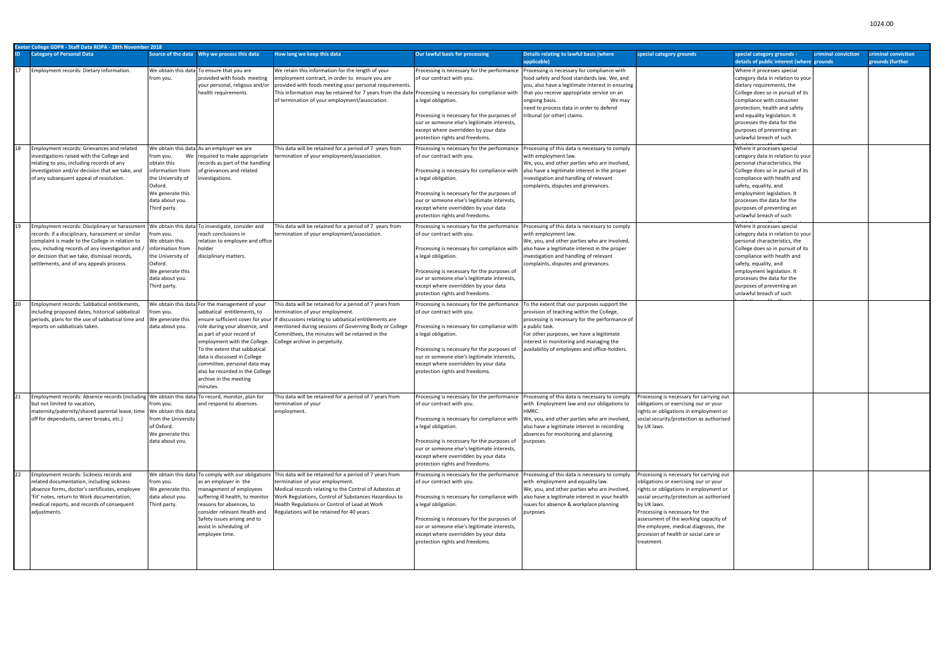| Exeter College GDPR - Staff Data ROPA - 28th November 2018 |                                                                                                                                                                                                                                                                                       |                                                                                                                                       |                                                                                                                                                                                                                                                                                                                                                      |                                                                                                                                                                                                                                                                                                                                                                |                                                                                                                                                                                                                                                                                                                                                                        |                                                                                                                                                                                                                                                                                                                                                 |                                                                                                                                                                                                                                                                                                                                                                   |                                                                                                                                                                                                                                                                                                                                                |                                         |  |
|------------------------------------------------------------|---------------------------------------------------------------------------------------------------------------------------------------------------------------------------------------------------------------------------------------------------------------------------------------|---------------------------------------------------------------------------------------------------------------------------------------|------------------------------------------------------------------------------------------------------------------------------------------------------------------------------------------------------------------------------------------------------------------------------------------------------------------------------------------------------|----------------------------------------------------------------------------------------------------------------------------------------------------------------------------------------------------------------------------------------------------------------------------------------------------------------------------------------------------------------|------------------------------------------------------------------------------------------------------------------------------------------------------------------------------------------------------------------------------------------------------------------------------------------------------------------------------------------------------------------------|-------------------------------------------------------------------------------------------------------------------------------------------------------------------------------------------------------------------------------------------------------------------------------------------------------------------------------------------------|-------------------------------------------------------------------------------------------------------------------------------------------------------------------------------------------------------------------------------------------------------------------------------------------------------------------------------------------------------------------|------------------------------------------------------------------------------------------------------------------------------------------------------------------------------------------------------------------------------------------------------------------------------------------------------------------------------------------------|-----------------------------------------|--|
| ID.                                                        | <b>Category of Personal Data</b>                                                                                                                                                                                                                                                      |                                                                                                                                       |                                                                                                                                                                                                                                                                                                                                                      | How long we keep this data                                                                                                                                                                                                                                                                                                                                     | Our lawful basis for processing                                                                                                                                                                                                                                                                                                                                        | Details relating to lawful basis (where<br>applicable)                                                                                                                                                                                                                                                                                          | special category grounds                                                                                                                                                                                                                                                                                                                                          | special category grounds -<br>criminal conviction<br>details of public interest (where grounds                                                                                                                                                                                                                                                 | criminal conviction<br>grounds (further |  |
| 17                                                         | Employment records: Dietary information.                                                                                                                                                                                                                                              | from you.                                                                                                                             | We obtain this data To ensure that you are<br>provided with foods meeting<br>your personal, religous and/or<br>health requirements.                                                                                                                                                                                                                  | We retain this information for the length of your<br>employment contract, in order to ensure you are<br>provided with foods meeting your personal requirements.<br>This information may be retained for 7 years from the date Processing is necessary for compliance with<br>of termination of your employment/association.                                    | Processing is necessary for the performance<br>of our contract with you.<br>a legal obligation.<br>Processing is necessary for the purposes of<br>our or someone else's legitimate interests,<br>except where overridden by your data<br>protection rights and freedoms.                                                                                               | Processing is necessary for compliance with<br>food safety and food standards law. We, and<br>you, also have a legitimate interest in ensuring<br>that you receive appropriate service on an<br>ongoing basis.<br>We may<br>need to process data in order to defend<br>tribunal (or other) claims.                                              |                                                                                                                                                                                                                                                                                                                                                                   | Where it processes special<br>category data in relation to your<br>dietary requirements, the<br>College does so in pursuit of its<br>compliance with consumer<br>protection, health and safety<br>and equality legislation. It<br>processes the data for the<br>purposes of preventing an<br>unlawful breach of such                           |                                         |  |
| 18                                                         | Employment records: Grievances and related<br>investigations raised with the College and<br>relating to you, including records of any<br>investigation and/or decision that we take, and<br>of any subsequent appeal of resolution.<br>Employment records: Disciplinary or harassment | from you.<br>obtain this<br>information from<br>the University of<br>Oxford.<br>We generate this<br>data about you.<br>Third party.   | We obtain this data As an employer we are<br>We required to make appropriate<br>ecords as part of the handling<br>of grievances and related<br>nvestigations.<br>We obtain this data To investigate, consider and                                                                                                                                    | This data will be retained for a period of 7 years from<br>termination of your employment/association.<br>This data will be retained for a period of 7 years from                                                                                                                                                                                              | Processing is necessary for the performance<br>of our contract with you.<br>Processing is necessary for compliance with<br>a legal obligation.<br>Processing is necessary for the purposes of<br>our or someone else's legitimate interests,<br>except where overridden by your data<br>protection rights and freedoms.<br>Processing is necessary for the performance | Processing of this data is necessary to comply<br>with employment law.<br>We, you, and other parties who are involved,<br>also have a legitimate interest in the proper<br>investigation and handling of relevant<br>complaints, disputes and grievances.<br>Processing of this data is necessary to comply                                     |                                                                                                                                                                                                                                                                                                                                                                   | Where it processes special<br>category data in relation to your<br>personal characteristics, the<br>College does so in pursuit of its<br>compliance with health and<br>safety, equality, and<br>employment legislation. It<br>processes the data for the<br>purposes of preventing an<br>unlawful breach of such<br>Where it processes special |                                         |  |
|                                                            | records: if a disciplinary, harassment or similar<br>complaint is made to the College in relation to<br>you, including records of any investigation and /<br>or decision that we take, dismissal records,<br>settlements, and of any appeals process.                                 | rom you.<br>We obtain this<br>information from<br>the University of<br>Oxford.<br>We generate this<br>data about you.<br>Third party. | each conclusions in<br>relation to employee and office<br>lisciplinary matters.                                                                                                                                                                                                                                                                      | termination of your employment/association.                                                                                                                                                                                                                                                                                                                    | of our contract with you.<br>Processing is necessary for compliance with<br>a legal obligation.<br>Processing is necessary for the purposes of<br>our or someone else's legitimate interests,<br>except where overridden by your data<br>protection rights and freedoms.                                                                                               | with employment law.<br>We, you, and other parties who are involved,<br>also have a legitimate interest in the proper<br>investigation and handling of relevant<br>complaints, disputes and grievances.                                                                                                                                         |                                                                                                                                                                                                                                                                                                                                                                   | category data in relation to your<br>personal characteristics, the<br>College does so in pursuit of its<br>compliance with health and<br>safety, equality, and<br>employment legislation. It<br>processes the data for the<br>purposes of preventing an<br>unlawful breach of such                                                             |                                         |  |
| 20                                                         | Employment records: Sabbatical entitlements,<br>including proposed dates, historical sabbatical<br>periods, plans for the use of sabbatical time and<br>reports on sabbaticals taken                                                                                                  | om you.<br>We generate this<br>data about you.                                                                                        | We obtain this data For the management of your<br>abbatical entitlements, to<br>role during your absence, and<br>as part of your record of<br>employment with the College.<br>To the extent that sabbatical<br>data is discussed in College<br>committee, personal data may<br>also be recorded in the College<br>archive in the meeting<br>minutes. | This data will be retained for a period of 7 years from<br>termination of your employment.<br>ensure sufficient cover for your  If discussions relating to sabbatical entitlements are<br>mentioned during sessions of Governing Body or College<br>Committees, the minutes will be retained in the<br>College archive in perpetuity.                          | Processing is necessary for the performance<br>of our contract with you.<br>Processing is necessary for compliance with<br>a legal obligation.<br>Processing is necessary for the purposes of<br>our or someone else's legitimate interests,<br>except where overridden by your data<br>protection rights and freedoms.                                                | To the extent that our purposes support the<br>provision of teaching within the College,<br>processing is necessary for the performance of<br>a public task.<br>For other purposes, we have a legitimate<br>interest in monitoring and managing the<br>availability of employees and office-holders.                                            |                                                                                                                                                                                                                                                                                                                                                                   |                                                                                                                                                                                                                                                                                                                                                |                                         |  |
| 21                                                         | Employment records: Absence records (including We obtain this data To record, monitor, plan for<br>but not limited to vacation,<br>maternity/paternity/shared parental leave, time   We obtain this data<br>off for dependants, career breaks, etc.)                                  | from you.<br>from the University<br>of Oxford.<br>We generate this<br>data about you.                                                 | and respond to absences.                                                                                                                                                                                                                                                                                                                             | This data will be retained for a period of 7 years from<br>termination of your<br>employment.                                                                                                                                                                                                                                                                  | of our contract with you.<br>Processing is necessary for compliance with<br>a legal obligation.<br>Processing is necessary for the purposes of<br>our or someone else's legitimate interests,<br>except where overridden by your data<br>protection rights and freedoms.                                                                                               | Processing is necessary for the performance Processing of this data is necessary to comply Processing is necessary for carrying out<br>with Employment law and our obligations to<br>HMRC.<br>We, you, and other parties who are involved,<br>also have a legitimate interest in recording<br>absences for monitoring and planning<br>purposes. | obligations or exercising our or your<br>rights or obligations in employment or<br>social security/protection as authorised<br>by UK laws.                                                                                                                                                                                                                        |                                                                                                                                                                                                                                                                                                                                                |                                         |  |
| 22                                                         | Employment records: Sickness records and<br>related documentation, including sickness<br>absence forms, doctor's certificates, employee<br>'Fit' notes, return to Work documentation,<br>medical reports, and records of consequent<br>adjustments.                                   | from you.<br>We generate this<br>data about you.<br>Third party.                                                                      | as an employer in the<br>management of employees<br>suffering ill health, to monitor<br>reasons for absences, to<br>consider relevant Health and<br>Safety issues arising and to<br>assist in scheduling of<br>employee time.                                                                                                                        | We obtain this data To comply with our obligations This data will be retained for a period of 7 years from<br>termination of your employment.<br>Medical records relating to the Control of Asbestos at<br>Work Regulations, Control of Substances Hazardous to<br>Health Regulations or Control of Lead at Work<br>Regulations will be retained for 40 years. | Processing is necessary for the performance<br>of our contract with you.<br>Processing is necessary for compliance with<br>a legal obligation.<br>Processing is necessary for the purposes of<br>our or someone else's legitimate interests,<br>except where overridden by your data<br>protection rights and freedoms.                                                | Processing of this data is necessary to comply<br>with employment and equality law.<br>We, you, and other parties who are involved,<br>also have a legitimate interest in your health<br>issues for absence & workplace planning<br>purposes.                                                                                                   | Processing is necessary for carrying out<br>obligations or exercising our or your<br>rights or obligations in employment or<br>social security/protection as authorised<br>by UK laws.<br>Processing is necessary for the<br>assessment of the working capacity of<br>the employee, medical diagnosis, the<br>provision of health or social care or<br>treatment. |                                                                                                                                                                                                                                                                                                                                                |                                         |  |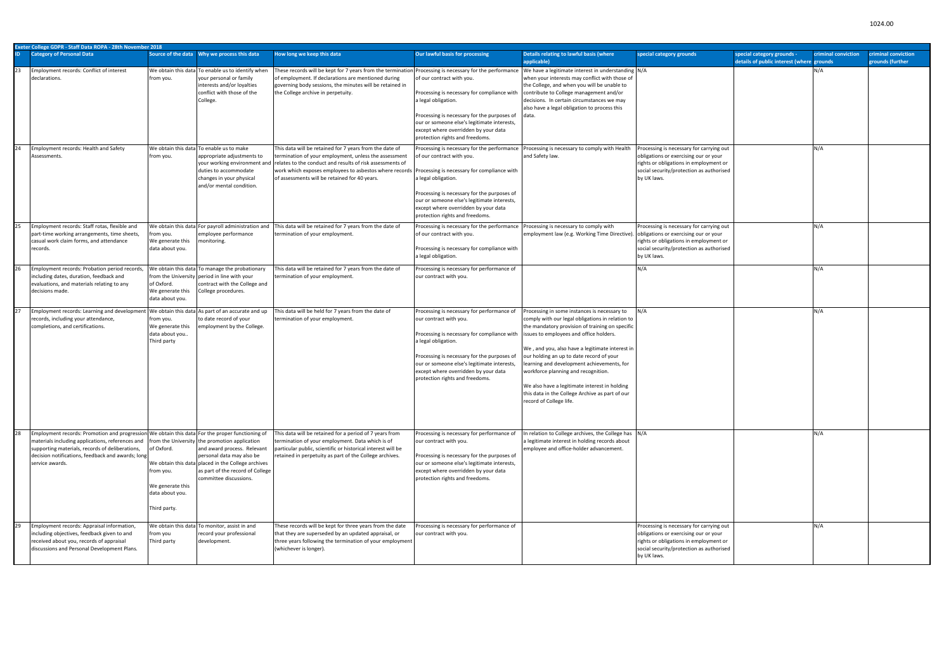|    | Exeter College GDPR - Staff Data ROPA - 28th November 2018                                                                                                                                                                                                                                                                     |                                                                                |                                                                                                                                                                                         |                                                                                                                                                                                                                                                                                          |                                                                                                                                                                                                                                                                                                                         |                                                                                                                                                                                                                                                                                                                                                                                                                                                                                                                   |                                                                                                                                                                                        |                                                                         |                     |                                         |  |  |
|----|--------------------------------------------------------------------------------------------------------------------------------------------------------------------------------------------------------------------------------------------------------------------------------------------------------------------------------|--------------------------------------------------------------------------------|-----------------------------------------------------------------------------------------------------------------------------------------------------------------------------------------|------------------------------------------------------------------------------------------------------------------------------------------------------------------------------------------------------------------------------------------------------------------------------------------|-------------------------------------------------------------------------------------------------------------------------------------------------------------------------------------------------------------------------------------------------------------------------------------------------------------------------|-------------------------------------------------------------------------------------------------------------------------------------------------------------------------------------------------------------------------------------------------------------------------------------------------------------------------------------------------------------------------------------------------------------------------------------------------------------------------------------------------------------------|----------------------------------------------------------------------------------------------------------------------------------------------------------------------------------------|-------------------------------------------------------------------------|---------------------|-----------------------------------------|--|--|
|    | <b>Category of Personal Data</b>                                                                                                                                                                                                                                                                                               |                                                                                |                                                                                                                                                                                         | How long we keep this data                                                                                                                                                                                                                                                               | Our lawful basis for processing                                                                                                                                                                                                                                                                                         | Details relating to lawful basis (where<br>applicable)                                                                                                                                                                                                                                                                                                                                                                                                                                                            | special category grounds                                                                                                                                                               | special category grounds -<br>details of public interest (where grounds | criminal conviction | criminal conviction<br>grounds (further |  |  |
| 23 | Employment records: Conflict of interest<br>declarations.                                                                                                                                                                                                                                                                      | from you.                                                                      | We obtain this data To enable us to identify when<br>your personal or family<br>interests and/or loyalties<br>conflict with those of the<br>College.                                    | hese records will be kept for 7 years from the termination Processing is necessary for the performance<br>of employment. If declarations are mentioned during<br>governing body sessions, the minutes will be retained in<br>the College archive in perpetuity.                          | of our contract with you.<br>Processing is necessary for compliance with<br>a legal obligation.<br>Processing is necessary for the purposes of<br>our or someone else's legitimate interests,<br>except where overridden by your data<br>protection rights and freedoms.                                                | We have a legitimate interest in understanding N/A<br>when your interests may conflict with those of<br>the College, and when you will be unable to<br>contribute to College management and/or<br>decisions. In certain circumstances we may<br>also have a legal obligation to process this<br>data.                                                                                                                                                                                                             |                                                                                                                                                                                        | N/A                                                                     |                     |                                         |  |  |
| 24 | Employment records: Health and Safety<br>Assessments.                                                                                                                                                                                                                                                                          | from you.                                                                      | We obtain this data To enable us to make<br>appropriate adjustments to<br>your working environment and<br>duties to accommodate<br>changes in your physical<br>and/or mental condition. | This data will be retained for 7 years from the date of<br>termination of your employment, unless the assessment<br>relates to the conduct and results of risk assessments of<br>work which exposes employees to asbestos where records<br>of assessments will be retained for 40 years. | Processing is necessary for the performance<br>of our contract with you.<br>Processing is necessary for compliance with<br>a legal obligation.<br>Processing is necessary for the purposes of<br>our or someone else's legitimate interests,<br>except where overridden by your data<br>protection rights and freedoms. | Processing is necessary to comply with Health<br>and Safety law.                                                                                                                                                                                                                                                                                                                                                                                                                                                  | Processing is necessary for carrying out<br>obligations or exercising our or your<br>rights or obligations in employment or<br>social security/protection as authorised<br>by UK laws. | N/A                                                                     |                     |                                         |  |  |
| 25 | Employment records: Staff rotas, flexible and<br>part-time working arrangements, time sheets,<br>casual work claim forms, and attendance<br>records.                                                                                                                                                                           | from you.<br>We generate this<br>data about you.                               | We obtain this data For payroll administration and<br>employee performance<br>monitoring.                                                                                               | This data will be retained for 7 years from the date of<br>termination of your employment.                                                                                                                                                                                               | Processing is necessary for the performance<br>of our contract with you.<br>Processing is necessary for compliance with<br>a legal obligation.                                                                                                                                                                          | Processing is necessary to comply with<br>employment law (e.g. Working Time Directive). obligations or exercising our or your                                                                                                                                                                                                                                                                                                                                                                                     | Processing is necessary for carrying out<br>rights or obligations in employment or<br>social security/protection as authorised<br>by UK laws.                                          | N/A                                                                     |                     |                                         |  |  |
| 26 | Employment records: Probation period records,<br>including dates, duration, feedback and<br>evaluations, and materials relating to any<br>decisions made.                                                                                                                                                                      | of Oxford.<br>We generate this<br>data about you.                              | We obtain this data To manage the probationary<br>from the University period in line with your<br>contract with the College and<br>College procedures.                                  | This data will be retained for 7 years from the date of<br>termination of your employment.                                                                                                                                                                                               | Processing is necessary for performance of<br>our contract with you.                                                                                                                                                                                                                                                    |                                                                                                                                                                                                                                                                                                                                                                                                                                                                                                                   | N/A                                                                                                                                                                                    | N/A                                                                     |                     |                                         |  |  |
| 27 | Employment records: Learning and development We obtain this data As part of an accurate and up<br>records, including your attendance,<br>completions, and certifications.                                                                                                                                                      | from you.<br>We generate this<br>data about you.<br>Third party                | to date record of your<br>employment by the College.                                                                                                                                    | This data will be held for 7 years from the date of<br>termination of your employment.                                                                                                                                                                                                   | Processing is necessary for performance of<br>our contract with you.<br>Processing is necessary for compliance with<br>a legal obligation.<br>Processing is necessary for the purposes of<br>our or someone else's legitimate interests,<br>except where overridden by your data<br>protection rights and freedoms.     | Processing in some instances is necessary to<br>comply with our legal obligations in relation to<br>the mandatory provision of training on specific<br>issues to employees and office holders.<br>We, and you, also have a legitimate interest in<br>our holding an up to date record of your<br>learning and development achievements, for<br>workforce planning and recognition.<br>We also have a legitimate interest in holding<br>this data in the College Archive as part of our<br>record of College life. | N/A                                                                                                                                                                                    | N/A                                                                     |                     |                                         |  |  |
| 28 | Employment records: Promotion and progression We obtain this data For the proper functioning of<br>materials including applications, references and   from the University the promotion application<br>supporting materials, records of deliberations,<br>decision notifications, feedback and awards; long<br>service awards. | of Oxford.<br>from you.<br>We generate this<br>data about you.<br>Third party. | and award process. Relevant<br>personal data may also be<br>We obtain this data placed in the College archives<br>as part of the record of College<br>committee discussions.            | This data will be retained for a period of 7 years from<br>termination of your employment. Data which is of<br>particular public, scientific or historical interest will be<br>retained in perpetuity as part of the College archives.                                                   | Processing is necessary for performance of<br>our contract with you.<br>Processing is necessary for the purposes of<br>our or someone else's legitimate interests,<br>except where overridden by your data<br>protection rights and freedoms.                                                                           | In relation to College archives, the College has N/A<br>a legitimate interest in holding records about<br>employee and office-holder advancement.                                                                                                                                                                                                                                                                                                                                                                 |                                                                                                                                                                                        | N/A                                                                     |                     |                                         |  |  |
| 29 | Employment records: Appraisal information,<br>including objectives, feedback given to and<br>received about you, records of appraisal<br>discussions and Personal Development Plans.                                                                                                                                           | from you<br>Third party                                                        | We obtain this data To monitor, assist in and<br>record your professional<br>development.                                                                                               | These records will be kept for three years from the date<br>that they are superseded by an updated appraisal, or<br>three years following the termination of your employment<br>(whichever is longer).                                                                                   | Processing is necessary for performance of<br>our contract with you.                                                                                                                                                                                                                                                    |                                                                                                                                                                                                                                                                                                                                                                                                                                                                                                                   | Processing is necessary for carrying out<br>obligations or exercising our or your<br>rights or obligations in employment or<br>social security/protection as authorised<br>by UK laws. | N/A                                                                     |                     |                                         |  |  |